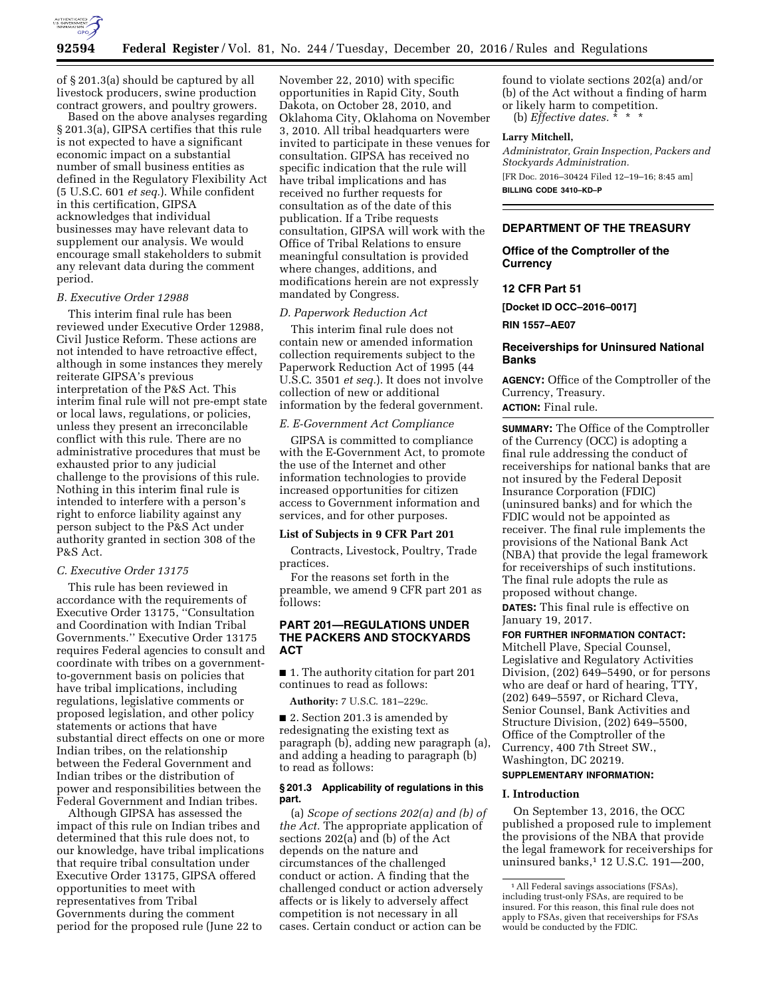

of § 201.3(a) should be captured by all livestock producers, swine production contract growers, and poultry growers.

Based on the above analyses regarding § 201.3(a), GIPSA certifies that this rule is not expected to have a significant economic impact on a substantial number of small business entities as defined in the Regulatory Flexibility Act (5 U.S.C. 601 *et seq.*). While confident in this certification, GIPSA acknowledges that individual businesses may have relevant data to supplement our analysis. We would encourage small stakeholders to submit any relevant data during the comment period.

#### *B. Executive Order 12988*

This interim final rule has been reviewed under Executive Order 12988, Civil Justice Reform. These actions are not intended to have retroactive effect, although in some instances they merely reiterate GIPSA's previous interpretation of the P&S Act. This interim final rule will not pre-empt state or local laws, regulations, or policies, unless they present an irreconcilable conflict with this rule. There are no administrative procedures that must be exhausted prior to any judicial challenge to the provisions of this rule. Nothing in this interim final rule is intended to interfere with a person's right to enforce liability against any person subject to the P&S Act under authority granted in section 308 of the P&S Act.

#### *C. Executive Order 13175*

This rule has been reviewed in accordance with the requirements of Executive Order 13175, ''Consultation and Coordination with Indian Tribal Governments.'' Executive Order 13175 requires Federal agencies to consult and coordinate with tribes on a governmentto-government basis on policies that have tribal implications, including regulations, legislative comments or proposed legislation, and other policy statements or actions that have substantial direct effects on one or more Indian tribes, on the relationship between the Federal Government and Indian tribes or the distribution of power and responsibilities between the Federal Government and Indian tribes.

Although GIPSA has assessed the impact of this rule on Indian tribes and determined that this rule does not, to our knowledge, have tribal implications that require tribal consultation under Executive Order 13175, GIPSA offered opportunities to meet with representatives from Tribal Governments during the comment period for the proposed rule (June 22 to

November 22, 2010) with specific opportunities in Rapid City, South Dakota, on October 28, 2010, and Oklahoma City, Oklahoma on November 3, 2010. All tribal headquarters were invited to participate in these venues for consultation. GIPSA has received no specific indication that the rule will have tribal implications and has received no further requests for consultation as of the date of this publication. If a Tribe requests consultation, GIPSA will work with the Office of Tribal Relations to ensure meaningful consultation is provided where changes, additions, and modifications herein are not expressly mandated by Congress.

## *D. Paperwork Reduction Act*

This interim final rule does not contain new or amended information collection requirements subject to the Paperwork Reduction Act of 1995 (44 U.S.C. 3501 *et seq.*). It does not involve collection of new or additional information by the federal government.

#### *E. E-Government Act Compliance*

GIPSA is committed to compliance with the E-Government Act, to promote the use of the Internet and other information technologies to provide increased opportunities for citizen access to Government information and services, and for other purposes.

## **List of Subjects in 9 CFR Part 201**

Contracts, Livestock, Poultry, Trade practices.

For the reasons set forth in the preamble, we amend 9 CFR part 201 as follows:

# **PART 201—REGULATIONS UNDER THE PACKERS AND STOCKYARDS ACT**

■ 1. The authority citation for part 201 continues to read as follows:

**Authority:** 7 U.S.C. 181–229c.

■ 2. Section 201.3 is amended by redesignating the existing text as paragraph (b), adding new paragraph (a), and adding a heading to paragraph (b) to read as follows:

# **§ 201.3 Applicability of regulations in this part.**

(a) *Scope of sections 202(a) and (b) of the Act.* The appropriate application of sections 202(a) and (b) of the Act depends on the nature and circumstances of the challenged conduct or action. A finding that the challenged conduct or action adversely affects or is likely to adversely affect competition is not necessary in all cases. Certain conduct or action can be

found to violate sections 202(a) and/or (b) of the Act without a finding of harm or likely harm to competition.

(b) *Effective dates.* \* \* \*

## **Larry Mitchell,**

*Administrator, Grain Inspection, Packers and Stockyards Administration.*  [FR Doc. 2016–30424 Filed 12–19–16; 8:45 am] **BILLING CODE 3410–KD–P** 

# **DEPARTMENT OF THE TREASURY**

# **Office of the Comptroller of the Currency**

# **12 CFR Part 51**

**[Docket ID OCC–2016–0017]** 

**RIN 1557–AE07** 

# **Receiverships for Uninsured National Banks**

**AGENCY:** Office of the Comptroller of the Currency, Treasury. **ACTION:** Final rule.

**SUMMARY:** The Office of the Comptroller of the Currency (OCC) is adopting a final rule addressing the conduct of receiverships for national banks that are not insured by the Federal Deposit Insurance Corporation (FDIC) (uninsured banks) and for which the FDIC would not be appointed as receiver. The final rule implements the provisions of the National Bank Act (NBA) that provide the legal framework for receiverships of such institutions. The final rule adopts the rule as proposed without change.

**DATES:** This final rule is effective on January 19, 2017.

**FOR FURTHER INFORMATION CONTACT:**  Mitchell Plave, Special Counsel, Legislative and Regulatory Activities Division, (202) 649–5490, or for persons who are deaf or hard of hearing, TTY, (202) 649–5597, or Richard Cleva, Senior Counsel, Bank Activities and Structure Division, (202) 649–5500, Office of the Comptroller of the Currency, 400 7th Street SW., Washington, DC 20219.

# **SUPPLEMENTARY INFORMATION:**

### **I. Introduction**

On September 13, 2016, the OCC published a proposed rule to implement the provisions of the NBA that provide the legal framework for receiverships for uninsured banks,1 12 U.S.C. 191—200,

<sup>&</sup>lt;sup>1</sup> All Federal savings associations (FSAs), including trust-only FSAs, are required to be insured. For this reason, this final rule does not apply to FSAs, given that receiverships for FSAs would be conducted by the FDIC.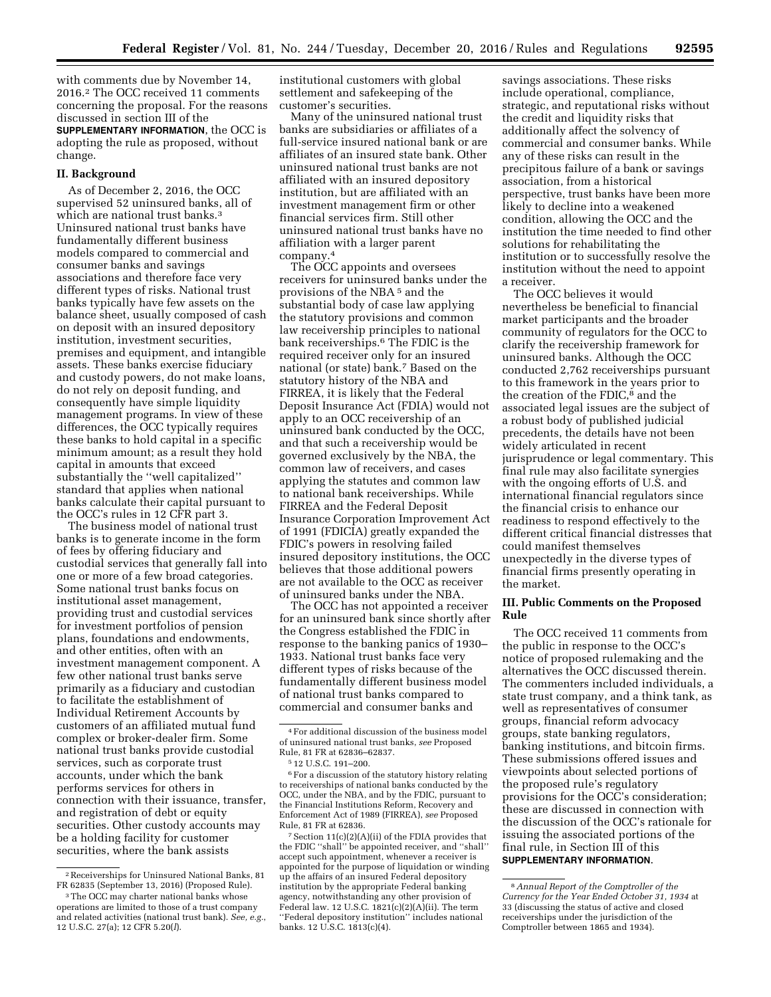with comments due by November 14, 2016.2 The OCC received 11 comments concerning the proposal. For the reasons discussed in section III of the **SUPPLEMENTARY INFORMATION**, the OCC is adopting the rule as proposed, without change.

### **II. Background**

As of December 2, 2016, the OCC supervised 52 uninsured banks, all of which are national trust banks.<sup>3</sup> Uninsured national trust banks have fundamentally different business models compared to commercial and consumer banks and savings associations and therefore face very different types of risks. National trust banks typically have few assets on the balance sheet, usually composed of cash on deposit with an insured depository institution, investment securities, premises and equipment, and intangible assets. These banks exercise fiduciary and custody powers, do not make loans, do not rely on deposit funding, and consequently have simple liquidity management programs. In view of these differences, the OCC typically requires these banks to hold capital in a specific minimum amount; as a result they hold capital in amounts that exceed substantially the ''well capitalized'' standard that applies when national banks calculate their capital pursuant to the OCC's rules in 12 CFR part 3.

The business model of national trust banks is to generate income in the form of fees by offering fiduciary and custodial services that generally fall into one or more of a few broad categories. Some national trust banks focus on institutional asset management, providing trust and custodial services for investment portfolios of pension plans, foundations and endowments, and other entities, often with an investment management component. A few other national trust banks serve primarily as a fiduciary and custodian to facilitate the establishment of Individual Retirement Accounts by customers of an affiliated mutual fund complex or broker-dealer firm. Some national trust banks provide custodial services, such as corporate trust accounts, under which the bank performs services for others in connection with their issuance, transfer, and registration of debt or equity securities. Other custody accounts may be a holding facility for customer securities, where the bank assists

institutional customers with global settlement and safekeeping of the customer's securities.

Many of the uninsured national trust banks are subsidiaries or affiliates of a full-service insured national bank or are affiliates of an insured state bank. Other uninsured national trust banks are not affiliated with an insured depository institution, but are affiliated with an investment management firm or other financial services firm. Still other uninsured national trust banks have no affiliation with a larger parent company.4

The OCC appoints and oversees receivers for uninsured banks under the provisions of the NBA 5 and the substantial body of case law applying the statutory provisions and common law receivership principles to national bank receiverships.6 The FDIC is the required receiver only for an insured national (or state) bank.7 Based on the statutory history of the NBA and FIRREA, it is likely that the Federal Deposit Insurance Act (FDIA) would not apply to an OCC receivership of an uninsured bank conducted by the OCC, and that such a receivership would be governed exclusively by the NBA, the common law of receivers, and cases applying the statutes and common law to national bank receiverships. While FIRREA and the Federal Deposit Insurance Corporation Improvement Act of 1991 (FDICIA) greatly expanded the FDIC's powers in resolving failed insured depository institutions, the OCC believes that those additional powers are not available to the OCC as receiver of uninsured banks under the NBA.

The OCC has not appointed a receiver for an uninsured bank since shortly after the Congress established the FDIC in response to the banking panics of 1930– 1933. National trust banks face very different types of risks because of the fundamentally different business model of national trust banks compared to commercial and consumer banks and

7Section 11(c)(2)(A)(ii) of the FDIA provides that the FDIC ''shall'' be appointed receiver, and ''shall'' accept such appointment, whenever a receiver is appointed for the purpose of liquidation or winding up the affairs of an insured Federal depository institution by the appropriate Federal banking agency, notwithstanding any other provision of Federal law. 12 U.S.C.  $1821(c)(2)(A)(ii)$ . The term ''Federal depository institution'' includes national banks. 12 U.S.C. 1813(c)(4).

savings associations. These risks include operational, compliance, strategic, and reputational risks without the credit and liquidity risks that additionally affect the solvency of commercial and consumer banks. While any of these risks can result in the precipitous failure of a bank or savings association, from a historical perspective, trust banks have been more likely to decline into a weakened condition, allowing the OCC and the institution the time needed to find other solutions for rehabilitating the institution or to successfully resolve the institution without the need to appoint a receiver.

The OCC believes it would nevertheless be beneficial to financial market participants and the broader community of regulators for the OCC to clarify the receivership framework for uninsured banks. Although the OCC conducted 2,762 receiverships pursuant to this framework in the years prior to the creation of the FDIC,<sup>8</sup> and the associated legal issues are the subject of a robust body of published judicial precedents, the details have not been widely articulated in recent jurisprudence or legal commentary. This final rule may also facilitate synergies with the ongoing efforts of U.S. and international financial regulators since the financial crisis to enhance our readiness to respond effectively to the different critical financial distresses that could manifest themselves unexpectedly in the diverse types of financial firms presently operating in the market.

## **III. Public Comments on the Proposed Rule**

The OCC received 11 comments from the public in response to the OCC's notice of proposed rulemaking and the alternatives the OCC discussed therein. The commenters included individuals, a state trust company, and a think tank, as well as representatives of consumer groups, financial reform advocacy groups, state banking regulators, banking institutions, and bitcoin firms. These submissions offered issues and viewpoints about selected portions of the proposed rule's regulatory provisions for the OCC's consideration; these are discussed in connection with the discussion of the OCC's rationale for issuing the associated portions of the final rule, in Section III of this **SUPPLEMENTARY INFORMATION**.

<sup>2</sup>Receiverships for Uninsured National Banks, 81 FR 62835 (September 13, 2016) (Proposed Rule).

<sup>3</sup>The OCC may charter national banks whose operations are limited to those of a trust company and related activities (national trust bank). *See, e.g.*, 12 U.S.C. 27(a); 12 CFR 5.20(*l*).

<sup>4</sup>For additional discussion of the business model of uninsured national trust banks, *see* Proposed Rule, 81 FR at 62836–62837.

<sup>5</sup> 12 U.S.C. 191–200.

<sup>6</sup>For a discussion of the statutory history relating to receiverships of national banks conducted by the OCC, under the NBA, and by the FDIC, pursuant to the Financial Institutions Reform, Recovery and Enforcement Act of 1989 (FIRREA), *see* Proposed Rule, 81 FR at 62836.

<sup>8</sup>*Annual Report of the Comptroller of the Currency for the Year Ended October 31, 1934* at 33 (discussing the status of active and closed receiverships under the jurisdiction of the Comptroller between 1865 and 1934).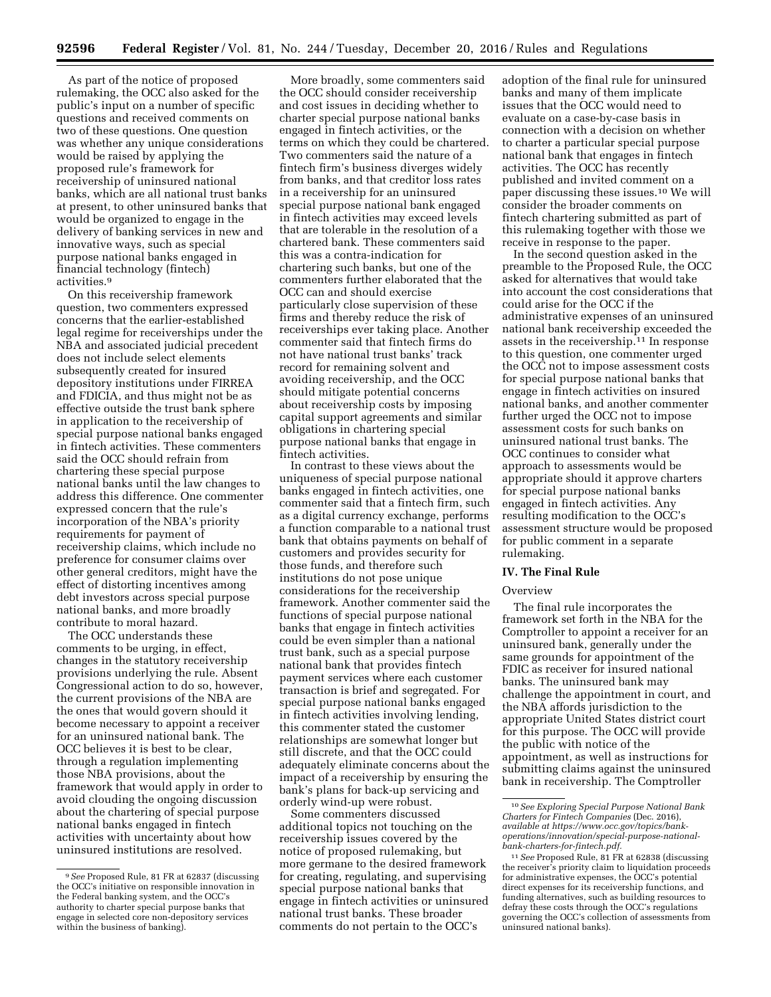As part of the notice of proposed rulemaking, the OCC also asked for the public's input on a number of specific questions and received comments on two of these questions. One question was whether any unique considerations would be raised by applying the proposed rule's framework for receivership of uninsured national banks, which are all national trust banks at present, to other uninsured banks that would be organized to engage in the delivery of banking services in new and innovative ways, such as special purpose national banks engaged in financial technology (fintech) activities.9

On this receivership framework question, two commenters expressed concerns that the earlier-established legal regime for receiverships under the NBA and associated judicial precedent does not include select elements subsequently created for insured depository institutions under FIRREA and FDICIA, and thus might not be as effective outside the trust bank sphere in application to the receivership of special purpose national banks engaged in fintech activities. These commenters said the OCC should refrain from chartering these special purpose national banks until the law changes to address this difference. One commenter expressed concern that the rule's incorporation of the NBA's priority requirements for payment of receivership claims, which include no preference for consumer claims over other general creditors, might have the effect of distorting incentives among debt investors across special purpose national banks, and more broadly contribute to moral hazard.

The OCC understands these comments to be urging, in effect, changes in the statutory receivership provisions underlying the rule. Absent Congressional action to do so, however, the current provisions of the NBA are the ones that would govern should it become necessary to appoint a receiver for an uninsured national bank. The OCC believes it is best to be clear, through a regulation implementing those NBA provisions, about the framework that would apply in order to avoid clouding the ongoing discussion about the chartering of special purpose national banks engaged in fintech activities with uncertainty about how uninsured institutions are resolved.

More broadly, some commenters said the OCC should consider receivership and cost issues in deciding whether to charter special purpose national banks engaged in fintech activities, or the terms on which they could be chartered. Two commenters said the nature of a fintech firm's business diverges widely from banks, and that creditor loss rates in a receivership for an uninsured special purpose national bank engaged in fintech activities may exceed levels that are tolerable in the resolution of a chartered bank. These commenters said this was a contra-indication for chartering such banks, but one of the commenters further elaborated that the OCC can and should exercise particularly close supervision of these firms and thereby reduce the risk of receiverships ever taking place. Another commenter said that fintech firms do not have national trust banks' track record for remaining solvent and avoiding receivership, and the OCC should mitigate potential concerns about receivership costs by imposing capital support agreements and similar obligations in chartering special purpose national banks that engage in fintech activities.

In contrast to these views about the uniqueness of special purpose national banks engaged in fintech activities, one commenter said that a fintech firm, such as a digital currency exchange, performs a function comparable to a national trust bank that obtains payments on behalf of customers and provides security for those funds, and therefore such institutions do not pose unique considerations for the receivership framework. Another commenter said the functions of special purpose national banks that engage in fintech activities could be even simpler than a national trust bank, such as a special purpose national bank that provides fintech payment services where each customer transaction is brief and segregated. For special purpose national banks engaged in fintech activities involving lending, this commenter stated the customer relationships are somewhat longer but still discrete, and that the OCC could adequately eliminate concerns about the impact of a receivership by ensuring the bank's plans for back-up servicing and orderly wind-up were robust.

Some commenters discussed additional topics not touching on the receivership issues covered by the notice of proposed rulemaking, but more germane to the desired framework for creating, regulating, and supervising special purpose national banks that engage in fintech activities or uninsured national trust banks. These broader comments do not pertain to the OCC's

adoption of the final rule for uninsured banks and many of them implicate issues that the OCC would need to evaluate on a case-by-case basis in connection with a decision on whether to charter a particular special purpose national bank that engages in fintech activities. The OCC has recently published and invited comment on a paper discussing these issues.10 We will consider the broader comments on fintech chartering submitted as part of this rulemaking together with those we receive in response to the paper.

In the second question asked in the preamble to the Proposed Rule, the OCC asked for alternatives that would take into account the cost considerations that could arise for the OCC if the administrative expenses of an uninsured national bank receivership exceeded the assets in the receivership.11 In response to this question, one commenter urged the OCC not to impose assessment costs for special purpose national banks that engage in fintech activities on insured national banks, and another commenter further urged the OCC not to impose assessment costs for such banks on uninsured national trust banks. The OCC continues to consider what approach to assessments would be appropriate should it approve charters for special purpose national banks engaged in fintech activities. Any resulting modification to the OCC's assessment structure would be proposed for public comment in a separate rulemaking.

#### **IV. The Final Rule**

#### **Overview**

The final rule incorporates the framework set forth in the NBA for the Comptroller to appoint a receiver for an uninsured bank, generally under the same grounds for appointment of the FDIC as receiver for insured national banks. The uninsured bank may challenge the appointment in court, and the NBA affords jurisdiction to the appropriate United States district court for this purpose. The OCC will provide the public with notice of the appointment, as well as instructions for submitting claims against the uninsured bank in receivership. The Comptroller

<sup>9</sup>*See* Proposed Rule, 81 FR at 62837 (discussing the OCC's initiative on responsible innovation in the Federal banking system, and the OCC's authority to charter special purpose banks that engage in selected core non-depository services within the business of banking).

<sup>10</sup>*See Exploring Special Purpose National Bank Charters for Fintech Companies* (Dec. 2016), *available at [https://www.occ.gov/topics/bank](https://www.occ.gov/topics/bank-operations/innovation/special-purpose-national-bank-charters-for-fintech.pdf)[operations/innovation/special-purpose-national](https://www.occ.gov/topics/bank-operations/innovation/special-purpose-national-bank-charters-for-fintech.pdf)[bank-charters-for-fintech.pdf.](https://www.occ.gov/topics/bank-operations/innovation/special-purpose-national-bank-charters-for-fintech.pdf)* 

<sup>11</sup>*See* Proposed Rule, 81 FR at 62838 (discussing the receiver's priority claim to liquidation proceeds for administrative expenses, the OCC's potential direct expenses for its receivership functions, and funding alternatives, such as building resources to defray these costs through the OCC's regulations governing the OCC's collection of assessments from uninsured national banks).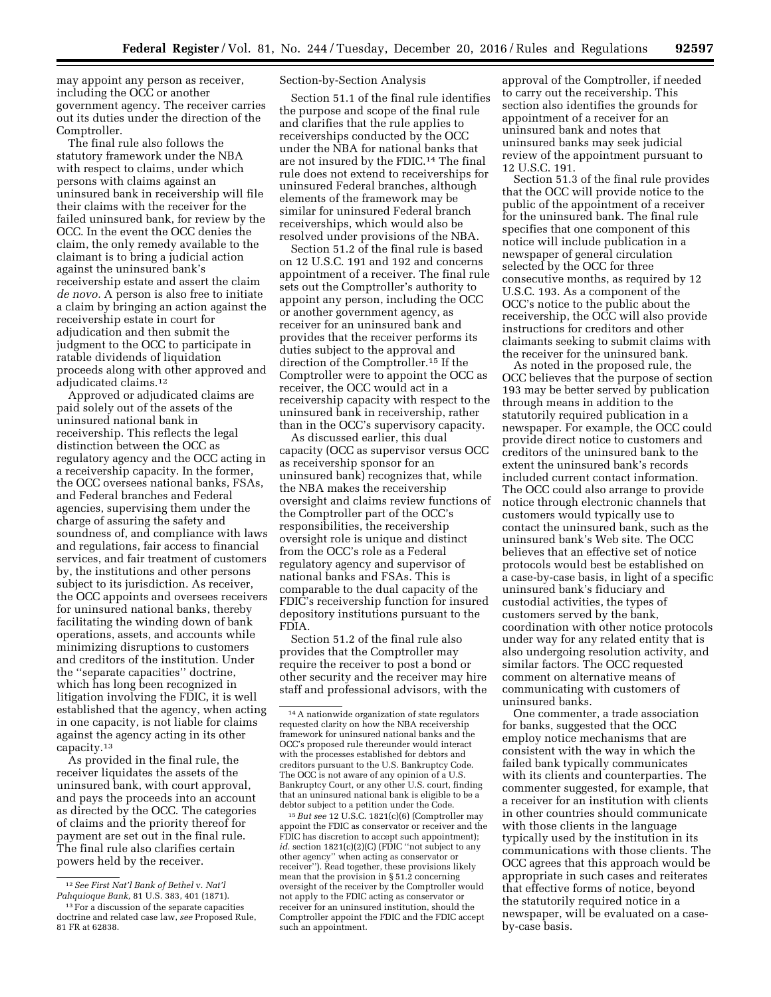may appoint any person as receiver, including the OCC or another government agency. The receiver carries out its duties under the direction of the Comptroller.

The final rule also follows the statutory framework under the NBA with respect to claims, under which persons with claims against an uninsured bank in receivership will file their claims with the receiver for the failed uninsured bank, for review by the OCC. In the event the OCC denies the claim, the only remedy available to the claimant is to bring a judicial action against the uninsured bank's receivership estate and assert the claim *de novo.* A person is also free to initiate a claim by bringing an action against the receivership estate in court for adjudication and then submit the judgment to the OCC to participate in ratable dividends of liquidation proceeds along with other approved and adjudicated claims.12

Approved or adjudicated claims are paid solely out of the assets of the uninsured national bank in receivership. This reflects the legal distinction between the OCC as regulatory agency and the OCC acting in a receivership capacity. In the former, the OCC oversees national banks, FSAs, and Federal branches and Federal agencies, supervising them under the charge of assuring the safety and soundness of, and compliance with laws and regulations, fair access to financial services, and fair treatment of customers by, the institutions and other persons subject to its jurisdiction. As receiver, the OCC appoints and oversees receivers for uninsured national banks, thereby facilitating the winding down of bank operations, assets, and accounts while minimizing disruptions to customers and creditors of the institution. Under the ''separate capacities'' doctrine, which has long been recognized in litigation involving the FDIC, it is well established that the agency, when acting in one capacity, is not liable for claims against the agency acting in its other capacity.13

As provided in the final rule, the receiver liquidates the assets of the uninsured bank, with court approval, and pays the proceeds into an account as directed by the OCC. The categories of claims and the priority thereof for payment are set out in the final rule. The final rule also clarifies certain powers held by the receiver.

Section-by-Section Analysis

Section 51.1 of the final rule identifies the purpose and scope of the final rule and clarifies that the rule applies to receiverships conducted by the OCC under the NBA for national banks that are not insured by the FDIC.14 The final rule does not extend to receiverships for uninsured Federal branches, although elements of the framework may be similar for uninsured Federal branch receiverships, which would also be resolved under provisions of the NBA.

Section 51.2 of the final rule is based on 12 U.S.C. 191 and 192 and concerns appointment of a receiver. The final rule sets out the Comptroller's authority to appoint any person, including the OCC or another government agency, as receiver for an uninsured bank and provides that the receiver performs its duties subject to the approval and direction of the Comptroller.15 If the Comptroller were to appoint the OCC as receiver, the OCC would act in a receivership capacity with respect to the uninsured bank in receivership, rather than in the OCC's supervisory capacity.

As discussed earlier, this dual capacity (OCC as supervisor versus OCC as receivership sponsor for an uninsured bank) recognizes that, while the NBA makes the receivership oversight and claims review functions of the Comptroller part of the OCC's responsibilities, the receivership oversight role is unique and distinct from the OCC's role as a Federal regulatory agency and supervisor of national banks and FSAs. This is comparable to the dual capacity of the FDIC's receivership function for insured depository institutions pursuant to the FDIA.

Section 51.2 of the final rule also provides that the Comptroller may require the receiver to post a bond or other security and the receiver may hire staff and professional advisors, with the

15*But see* 12 U.S.C. 1821(c)(6) (Comptroller may appoint the FDIC as conservator or receiver and the FDIC has discretion to accept such appointment); *id.* section 1821(c)(2)(C) (FDIC ''not subject to any other agency'' when acting as conservator or receiver''). Read together, these provisions likely mean that the provision in § 51.2 concerning oversight of the receiver by the Comptroller would not apply to the FDIC acting as conservator or receiver for an uninsured institution, should the Comptroller appoint the FDIC and the FDIC accept such an appointment.

approval of the Comptroller, if needed to carry out the receivership. This section also identifies the grounds for appointment of a receiver for an uninsured bank and notes that uninsured banks may seek judicial review of the appointment pursuant to 12 U.S.C. 191.

Section 51.3 of the final rule provides that the OCC will provide notice to the public of the appointment of a receiver for the uninsured bank. The final rule specifies that one component of this notice will include publication in a newspaper of general circulation selected by the OCC for three consecutive months, as required by 12 U.S.C. 193. As a component of the OCC's notice to the public about the receivership, the OCC will also provide instructions for creditors and other claimants seeking to submit claims with the receiver for the uninsured bank.

As noted in the proposed rule, the OCC believes that the purpose of section 193 may be better served by publication through means in addition to the statutorily required publication in a newspaper. For example, the OCC could provide direct notice to customers and creditors of the uninsured bank to the extent the uninsured bank's records included current contact information. The OCC could also arrange to provide notice through electronic channels that customers would typically use to contact the uninsured bank, such as the uninsured bank's Web site. The OCC believes that an effective set of notice protocols would best be established on a case-by-case basis, in light of a specific uninsured bank's fiduciary and custodial activities, the types of customers served by the bank, coordination with other notice protocols under way for any related entity that is also undergoing resolution activity, and similar factors. The OCC requested comment on alternative means of communicating with customers of uninsured banks.

One commenter, a trade association for banks, suggested that the OCC employ notice mechanisms that are consistent with the way in which the failed bank typically communicates with its clients and counterparties. The commenter suggested, for example, that a receiver for an institution with clients in other countries should communicate with those clients in the language typically used by the institution in its communications with those clients. The OCC agrees that this approach would be appropriate in such cases and reiterates that effective forms of notice, beyond the statutorily required notice in a newspaper, will be evaluated on a caseby-case basis.

<sup>12</sup>*See First Nat'l Bank of Bethel* v. *Nat'l Pahquioque Bank,* 81 U.S. 383, 401 (1871).

<sup>&</sup>lt;sup>13</sup> For a discussion of the separate capacities doctrine and related case law, *see* Proposed Rule, 81 FR at 62838.

<sup>14</sup>A nationwide organization of state regulators requested clarity on how the NBA receivership framework for uninsured national banks and the OCC's proposed rule thereunder would interact with the processes established for debtors and creditors pursuant to the U.S. Bankruptcy Code. The OCC is not aware of any opinion of a U.S. Bankruptcy Court, or any other U.S. court, finding that an uninsured national bank is eligible to be a debtor subject to a petition under the Code.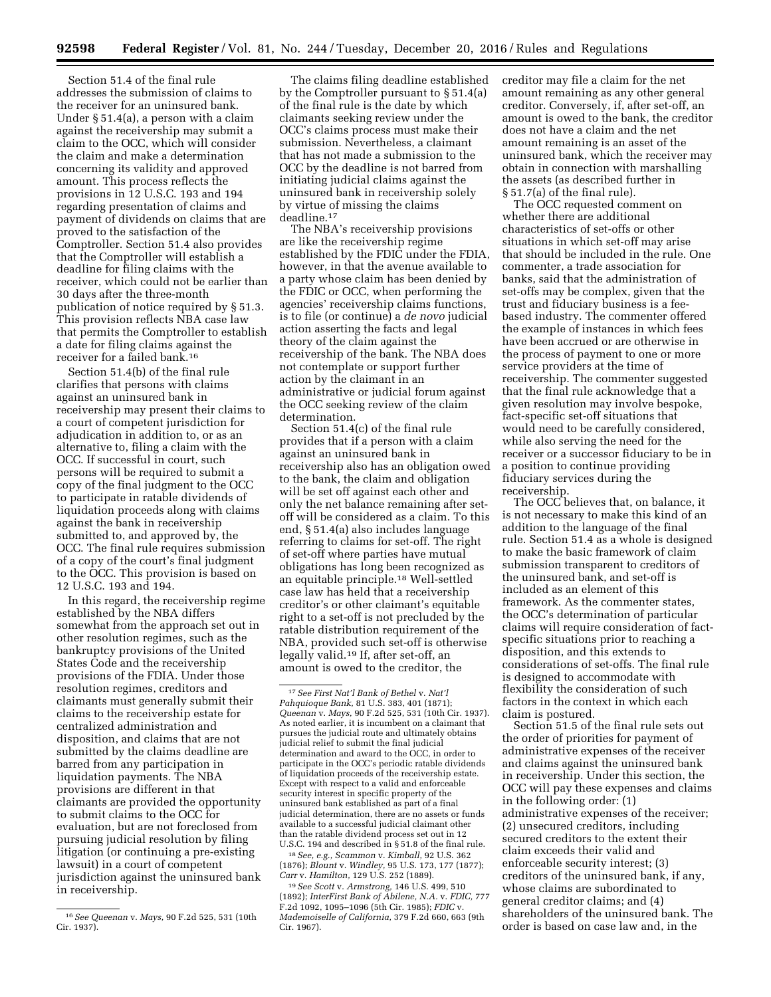Section 51.4 of the final rule addresses the submission of claims to the receiver for an uninsured bank. Under § 51.4(a), a person with a claim against the receivership may submit a claim to the OCC, which will consider the claim and make a determination concerning its validity and approved amount. This process reflects the provisions in 12 U.S.C. 193 and 194 regarding presentation of claims and payment of dividends on claims that are proved to the satisfaction of the Comptroller. Section 51.4 also provides that the Comptroller will establish a deadline for filing claims with the receiver, which could not be earlier than 30 days after the three-month publication of notice required by § 51.3. This provision reflects NBA case law that permits the Comptroller to establish a date for filing claims against the receiver for a failed bank.16

Section 51.4(b) of the final rule clarifies that persons with claims against an uninsured bank in receivership may present their claims to a court of competent jurisdiction for adjudication in addition to, or as an alternative to, filing a claim with the OCC. If successful in court, such persons will be required to submit a copy of the final judgment to the OCC to participate in ratable dividends of liquidation proceeds along with claims against the bank in receivership submitted to, and approved by, the OCC. The final rule requires submission of a copy of the court's final judgment to the OCC. This provision is based on 12 U.S.C. 193 and 194.

In this regard, the receivership regime established by the NBA differs somewhat from the approach set out in other resolution regimes, such as the bankruptcy provisions of the United States Code and the receivership provisions of the FDIA. Under those resolution regimes, creditors and claimants must generally submit their claims to the receivership estate for centralized administration and disposition, and claims that are not submitted by the claims deadline are barred from any participation in liquidation payments. The NBA provisions are different in that claimants are provided the opportunity to submit claims to the OCC for evaluation, but are not foreclosed from pursuing judicial resolution by filing litigation (or continuing a pre-existing lawsuit) in a court of competent jurisdiction against the uninsured bank in receivership.

The claims filing deadline established by the Comptroller pursuant to § 51.4(a) of the final rule is the date by which claimants seeking review under the OCC's claims process must make their submission. Nevertheless, a claimant that has not made a submission to the OCC by the deadline is not barred from initiating judicial claims against the uninsured bank in receivership solely by virtue of missing the claims deadline.17

The NBA's receivership provisions are like the receivership regime established by the FDIC under the FDIA, however, in that the avenue available to a party whose claim has been denied by the FDIC or OCC, when performing the agencies' receivership claims functions, is to file (or continue) a *de novo* judicial action asserting the facts and legal theory of the claim against the receivership of the bank. The NBA does not contemplate or support further action by the claimant in an administrative or judicial forum against the OCC seeking review of the claim determination.

Section 51.4(c) of the final rule provides that if a person with a claim against an uninsured bank in receivership also has an obligation owed to the bank, the claim and obligation will be set off against each other and only the net balance remaining after setoff will be considered as a claim. To this end, § 51.4(a) also includes language referring to claims for set-off. The right of set-off where parties have mutual obligations has long been recognized as an equitable principle.18 Well-settled case law has held that a receivership creditor's or other claimant's equitable right to a set-off is not precluded by the ratable distribution requirement of the NBA, provided such set-off is otherwise legally valid.19 If, after set-off, an amount is owed to the creditor, the

18*See, e.g., Scammon* v. *Kimball,* 92 U.S. 362 (1876); *Blount* v. *Windley,* 95 U.S. 173, 177 (1877); *Carr* v. *Hamilton,* 129 U.S. 252 (1889).

19*See Scott* v. *Armstrong,* 146 U.S. 499, 510 (1892); *InterFirst Bank of Abilene, N.A.* v. *FDIC,* 777 F.2d 1092, 1095–1096 (5th Cir. 1985); *FDIC* v. *Mademoiselle of California,* 379 F.2d 660, 663 (9th Cir. 1967).

creditor may file a claim for the net amount remaining as any other general creditor. Conversely, if, after set-off, an amount is owed to the bank, the creditor does not have a claim and the net amount remaining is an asset of the uninsured bank, which the receiver may obtain in connection with marshalling the assets (as described further in § 51.7(a) of the final rule).

The OCC requested comment on whether there are additional characteristics of set-offs or other situations in which set-off may arise that should be included in the rule. One commenter, a trade association for banks, said that the administration of set-offs may be complex, given that the trust and fiduciary business is a feebased industry. The commenter offered the example of instances in which fees have been accrued or are otherwise in the process of payment to one or more service providers at the time of receivership. The commenter suggested that the final rule acknowledge that a given resolution may involve bespoke, fact-specific set-off situations that would need to be carefully considered, while also serving the need for the receiver or a successor fiduciary to be in a position to continue providing fiduciary services during the receivership.

The OCC believes that, on balance, it is not necessary to make this kind of an addition to the language of the final rule. Section 51.4 as a whole is designed to make the basic framework of claim submission transparent to creditors of the uninsured bank, and set-off is included as an element of this framework. As the commenter states, the OCC's determination of particular claims will require consideration of factspecific situations prior to reaching a disposition, and this extends to considerations of set-offs. The final rule is designed to accommodate with flexibility the consideration of such factors in the context in which each claim is postured.

Section 51.5 of the final rule sets out the order of priorities for payment of administrative expenses of the receiver and claims against the uninsured bank in receivership. Under this section, the OCC will pay these expenses and claims in the following order: (1) administrative expenses of the receiver; (2) unsecured creditors, including secured creditors to the extent their claim exceeds their valid and enforceable security interest; (3) creditors of the uninsured bank, if any, whose claims are subordinated to general creditor claims; and (4) shareholders of the uninsured bank. The order is based on case law and, in the

<sup>16</sup>*See Queenan* v. *Mays,* 90 F.2d 525, 531 (10th Cir. 1937).

<sup>17</sup>*See First Nat'l Bank of Bethel* v. *Nat'l Pahquioque Bank,* 81 U.S. 383, 401 (1871); *Queenan* v. *Mays,* 90 F.2d 525, 531 (10th Cir. 1937). As noted earlier, it is incumbent on a claimant that pursues the judicial route and ultimately obtains judicial relief to submit the final judicial determination and award to the OCC, in order to participate in the OCC's periodic ratable dividends of liquidation proceeds of the receivership estate. Except with respect to a valid and enforceable security interest in specific property of the uninsured bank established as part of a final judicial determination, there are no assets or funds available to a successful judicial claimant other than the ratable dividend process set out in 12 U.S.C. 194 and described in § 51.8 of the final rule.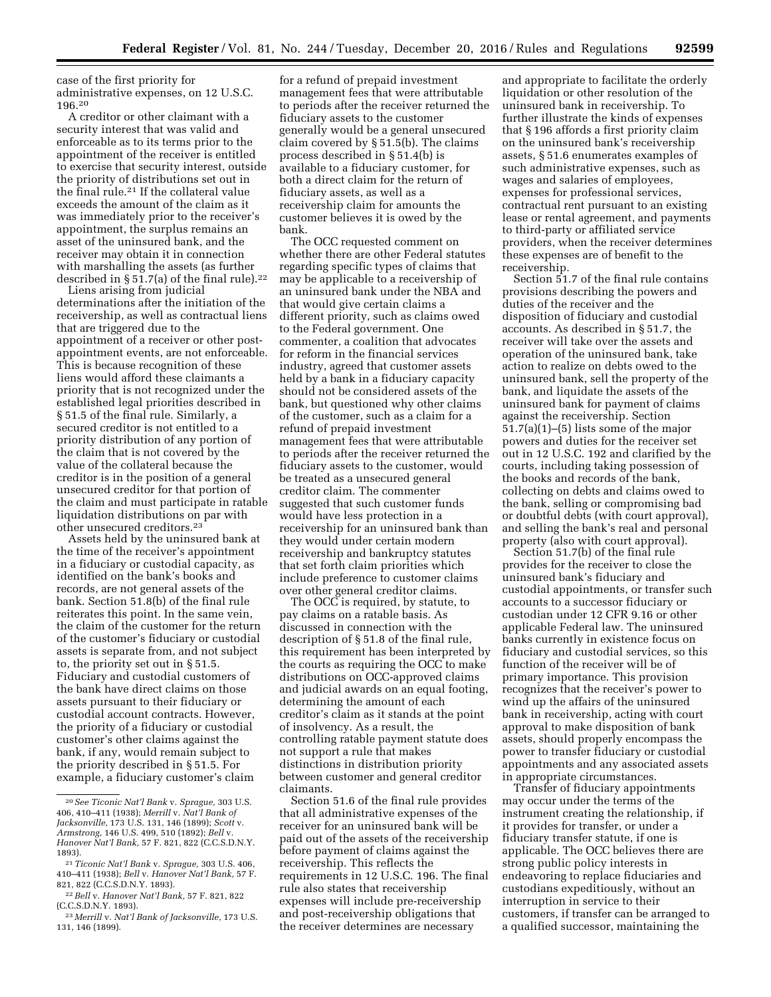case of the first priority for administrative expenses, on 12 U.S.C. 196.20

A creditor or other claimant with a security interest that was valid and enforceable as to its terms prior to the appointment of the receiver is entitled to exercise that security interest, outside the priority of distributions set out in the final rule.21 If the collateral value exceeds the amount of the claim as it was immediately prior to the receiver's appointment, the surplus remains an asset of the uninsured bank, and the receiver may obtain it in connection with marshalling the assets (as further described in  $\S 51.7$ (a) of the final rule).<sup>22</sup>

Liens arising from judicial determinations after the initiation of the receivership, as well as contractual liens that are triggered due to the appointment of a receiver or other postappointment events, are not enforceable. This is because recognition of these liens would afford these claimants a priority that is not recognized under the established legal priorities described in § 51.5 of the final rule. Similarly, a secured creditor is not entitled to a priority distribution of any portion of the claim that is not covered by the value of the collateral because the creditor is in the position of a general unsecured creditor for that portion of the claim and must participate in ratable liquidation distributions on par with other unsecured creditors.23

Assets held by the uninsured bank at the time of the receiver's appointment in a fiduciary or custodial capacity, as identified on the bank's books and records, are not general assets of the bank. Section 51.8(b) of the final rule reiterates this point. In the same vein, the claim of the customer for the return of the customer's fiduciary or custodial assets is separate from, and not subject to, the priority set out in § 51.5. Fiduciary and custodial customers of the bank have direct claims on those assets pursuant to their fiduciary or custodial account contracts. However, the priority of a fiduciary or custodial customer's other claims against the bank, if any, would remain subject to the priority described in § 51.5. For example, a fiduciary customer's claim

for a refund of prepaid investment management fees that were attributable to periods after the receiver returned the fiduciary assets to the customer generally would be a general unsecured claim covered by § 51.5(b). The claims process described in § 51.4(b) is available to a fiduciary customer, for both a direct claim for the return of fiduciary assets, as well as a receivership claim for amounts the customer believes it is owed by the bank.

The OCC requested comment on whether there are other Federal statutes regarding specific types of claims that may be applicable to a receivership of an uninsured bank under the NBA and that would give certain claims a different priority, such as claims owed to the Federal government. One commenter, a coalition that advocates for reform in the financial services industry, agreed that customer assets held by a bank in a fiduciary capacity should not be considered assets of the bank, but questioned why other claims of the customer, such as a claim for a refund of prepaid investment management fees that were attributable to periods after the receiver returned the fiduciary assets to the customer, would be treated as a unsecured general creditor claim. The commenter suggested that such customer funds would have less protection in a receivership for an uninsured bank than they would under certain modern receivership and bankruptcy statutes that set forth claim priorities which include preference to customer claims over other general creditor claims.

The OCC is required, by statute, to pay claims on a ratable basis. As discussed in connection with the description of § 51.8 of the final rule, this requirement has been interpreted by the courts as requiring the OCC to make distributions on OCC-approved claims and judicial awards on an equal footing, determining the amount of each creditor's claim as it stands at the point of insolvency. As a result, the controlling ratable payment statute does not support a rule that makes distinctions in distribution priority between customer and general creditor claimants.

Section 51.6 of the final rule provides that all administrative expenses of the receiver for an uninsured bank will be paid out of the assets of the receivership before payment of claims against the receivership. This reflects the requirements in 12 U.S.C. 196. The final rule also states that receivership expenses will include pre-receivership and post-receivership obligations that the receiver determines are necessary

and appropriate to facilitate the orderly liquidation or other resolution of the uninsured bank in receivership. To further illustrate the kinds of expenses that § 196 affords a first priority claim on the uninsured bank's receivership assets, § 51.6 enumerates examples of such administrative expenses, such as wages and salaries of employees, expenses for professional services, contractual rent pursuant to an existing lease or rental agreement, and payments to third-party or affiliated service providers, when the receiver determines these expenses are of benefit to the receivership.

Section 51.7 of the final rule contains provisions describing the powers and duties of the receiver and the disposition of fiduciary and custodial accounts. As described in § 51.7, the receiver will take over the assets and operation of the uninsured bank, take action to realize on debts owed to the uninsured bank, sell the property of the bank, and liquidate the assets of the uninsured bank for payment of claims against the receivership. Section 51.7(a)(1)–(5) lists some of the major powers and duties for the receiver set out in 12 U.S.C. 192 and clarified by the courts, including taking possession of the books and records of the bank, collecting on debts and claims owed to the bank, selling or compromising bad or doubtful debts (with court approval), and selling the bank's real and personal property (also with court approval).

Section 51.7(b) of the final rule provides for the receiver to close the uninsured bank's fiduciary and custodial appointments, or transfer such accounts to a successor fiduciary or custodian under 12 CFR 9.16 or other applicable Federal law. The uninsured banks currently in existence focus on fiduciary and custodial services, so this function of the receiver will be of primary importance. This provision recognizes that the receiver's power to wind up the affairs of the uninsured bank in receivership, acting with court approval to make disposition of bank assets, should properly encompass the power to transfer fiduciary or custodial appointments and any associated assets in appropriate circumstances.

Transfer of fiduciary appointments may occur under the terms of the instrument creating the relationship, if it provides for transfer, or under a fiduciary transfer statute, if one is applicable. The OCC believes there are strong public policy interests in endeavoring to replace fiduciaries and custodians expeditiously, without an interruption in service to their customers, if transfer can be arranged to a qualified successor, maintaining the

<sup>20</sup>*See Ticonic Nat'l Bank* v. *Sprague,* 303 U.S. 406, 410–411 (1938); *Merrill* v. *Nat'l Bank of Jacksonville,* 173 U.S. 131, 146 (1899); *Scott* v. *Armstrong,* 146 U.S. 499, 510 (1892); *Bell* v. *Hanover Nat'l Bank,* 57 F. 821, 822 (C.C.S.D.N.Y. 1893).

<sup>21</sup>*Ticonic Nat'l Bank* v. *Sprague,* 303 U.S. 406, 410–411 (1938); *Bell* v. *Hanover Nat'l Bank,* 57 F. 821, 822 (C.C.S.D.N.Y. 1893).

<sup>22</sup>*Bell* v. *Hanover Nat'l Bank,* 57 F. 821, 822 (C.C.S.D.N.Y. 1893).

<sup>23</sup> *Merrill* v. *Nat'l Bank of Jacksonville,* 173 U.S. 131, 146 (1899).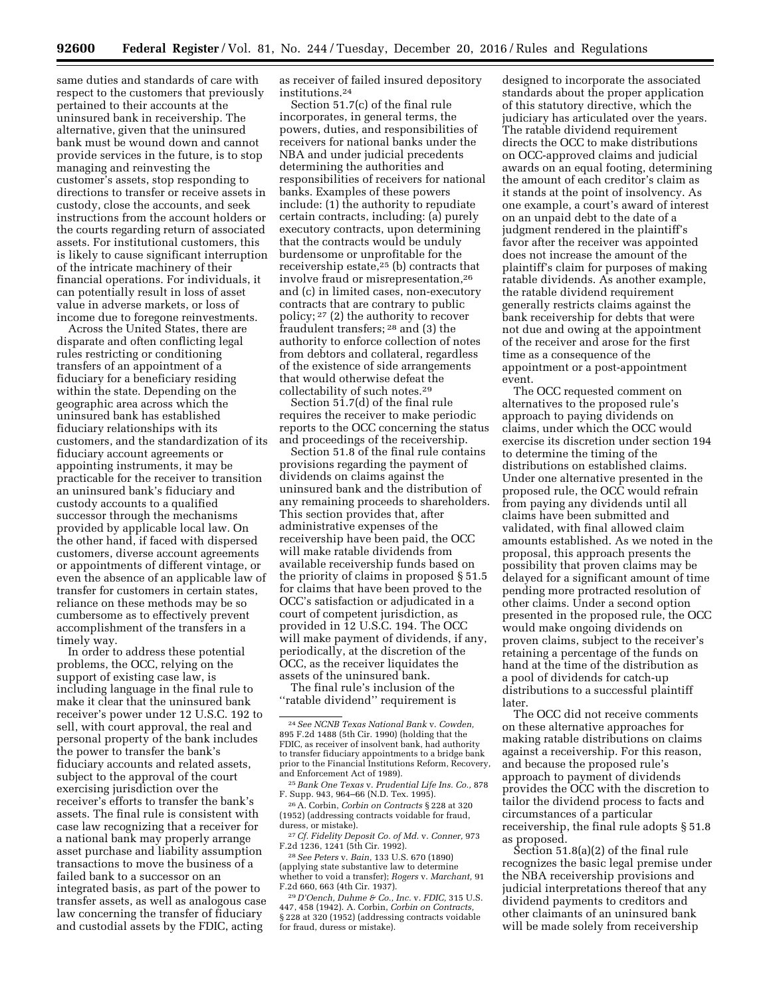same duties and standards of care with respect to the customers that previously pertained to their accounts at the uninsured bank in receivership. The alternative, given that the uninsured bank must be wound down and cannot provide services in the future, is to stop managing and reinvesting the customer's assets, stop responding to directions to transfer or receive assets in custody, close the accounts, and seek instructions from the account holders or the courts regarding return of associated assets. For institutional customers, this is likely to cause significant interruption of the intricate machinery of their financial operations. For individuals, it can potentially result in loss of asset value in adverse markets, or loss of income due to foregone reinvestments.

Across the United States, there are disparate and often conflicting legal rules restricting or conditioning transfers of an appointment of a fiduciary for a beneficiary residing within the state. Depending on the geographic area across which the uninsured bank has established fiduciary relationships with its customers, and the standardization of its fiduciary account agreements or appointing instruments, it may be practicable for the receiver to transition an uninsured bank's fiduciary and custody accounts to a qualified successor through the mechanisms provided by applicable local law. On the other hand, if faced with dispersed customers, diverse account agreements or appointments of different vintage, or even the absence of an applicable law of transfer for customers in certain states, reliance on these methods may be so cumbersome as to effectively prevent accomplishment of the transfers in a timely way.

In order to address these potential problems, the OCC, relying on the support of existing case law, is including language in the final rule to make it clear that the uninsured bank receiver's power under 12 U.S.C. 192 to sell, with court approval, the real and personal property of the bank includes the power to transfer the bank's fiduciary accounts and related assets, subject to the approval of the court exercising jurisdiction over the receiver's efforts to transfer the bank's assets. The final rule is consistent with case law recognizing that a receiver for a national bank may properly arrange asset purchase and liability assumption transactions to move the business of a failed bank to a successor on an integrated basis, as part of the power to transfer assets, as well as analogous case law concerning the transfer of fiduciary and custodial assets by the FDIC, acting

as receiver of failed insured depository institutions.24

Section 51.7(c) of the final rule incorporates, in general terms, the powers, duties, and responsibilities of receivers for national banks under the NBA and under judicial precedents determining the authorities and responsibilities of receivers for national banks. Examples of these powers include: (1) the authority to repudiate certain contracts, including: (a) purely executory contracts, upon determining that the contracts would be unduly burdensome or unprofitable for the receivership estate,25 (b) contracts that involve fraud or misrepresentation,26 and (c) in limited cases, non-executory contracts that are contrary to public policy; 27 (2) the authority to recover fraudulent transfers; 28 and (3) the authority to enforce collection of notes from debtors and collateral, regardless of the existence of side arrangements that would otherwise defeat the collectability of such notes.29

Section 51.7(d) of the final rule requires the receiver to make periodic reports to the OCC concerning the status and proceedings of the receivership.

Section 51.8 of the final rule contains provisions regarding the payment of dividends on claims against the uninsured bank and the distribution of any remaining proceeds to shareholders. This section provides that, after administrative expenses of the receivership have been paid, the OCC will make ratable dividends from available receivership funds based on the priority of claims in proposed § 51.5 for claims that have been proved to the OCC's satisfaction or adjudicated in a court of competent jurisdiction, as provided in 12 U.S.C. 194. The OCC will make payment of dividends, if any, periodically, at the discretion of the OCC, as the receiver liquidates the assets of the uninsured bank.

The final rule's inclusion of the ''ratable dividend'' requirement is

<sup>25</sup> Bank One Texas v. Prudential Life Ins. Co., 878<br>F. Supp. 943, 964–66 (N.D. Tex. 1995).

<sup>26</sup> A. Corbin, *Corbin on Contracts* § 228 at 320 (1952) (addressing contracts voidable for fraud,

<sup>27</sup> Cf. Fidelity Deposit Co. of Md. v. Conner, 973<br>F.2d 1236, 1241 (5th Cir. 1992).

F.2d 1236, 1241 (5th Cir. 1992). 28*See Peters* v. *Bain,* 133 U.S. 670 (1890) (applying state substantive law to determine whether to void a transfer); *Rogers* v. *Marchant,* 91

F.2d 660, 663 (4th Cir. 1937). 29 *D'Oench, Duhme & Co., Inc.* v. *FDIC,* 315 U.S. 447, 458 (1942). A. Corbin, *Corbin on Contracts,*  § 228 at 320 (1952) (addressing contracts voidable for fraud, duress or mistake).

designed to incorporate the associated standards about the proper application of this statutory directive, which the judiciary has articulated over the years. The ratable dividend requirement directs the OCC to make distributions on OCC-approved claims and judicial awards on an equal footing, determining the amount of each creditor's claim as it stands at the point of insolvency. As one example, a court's award of interest on an unpaid debt to the date of a judgment rendered in the plaintiff's favor after the receiver was appointed does not increase the amount of the plaintiff's claim for purposes of making ratable dividends. As another example, the ratable dividend requirement generally restricts claims against the bank receivership for debts that were not due and owing at the appointment of the receiver and arose for the first time as a consequence of the appointment or a post-appointment event.

The OCC requested comment on alternatives to the proposed rule's approach to paying dividends on claims, under which the OCC would exercise its discretion under section 194 to determine the timing of the distributions on established claims. Under one alternative presented in the proposed rule, the OCC would refrain from paying any dividends until all claims have been submitted and validated, with final allowed claim amounts established. As we noted in the proposal, this approach presents the possibility that proven claims may be delayed for a significant amount of time pending more protracted resolution of other claims. Under a second option presented in the proposed rule, the OCC would make ongoing dividends on proven claims, subject to the receiver's retaining a percentage of the funds on hand at the time of the distribution as a pool of dividends for catch-up distributions to a successful plaintiff later.

The OCC did not receive comments on these alternative approaches for making ratable distributions on claims against a receivership. For this reason, and because the proposed rule's approach to payment of dividends provides the OCC with the discretion to tailor the dividend process to facts and circumstances of a particular receivership, the final rule adopts § 51.8 as proposed.

Section 51.8(a)(2) of the final rule recognizes the basic legal premise under the NBA receivership provisions and judicial interpretations thereof that any dividend payments to creditors and other claimants of an uninsured bank will be made solely from receivership

<sup>24</sup>*See NCNB Texas National Bank* v. *Cowden,*  895 F.2d 1488 (5th Cir. 1990) (holding that the FDIC, as receiver of insolvent bank, had authority to transfer fiduciary appointments to a bridge bank prior to the Financial Institutions Reform, Recovery, and Enforcement Act of 1989).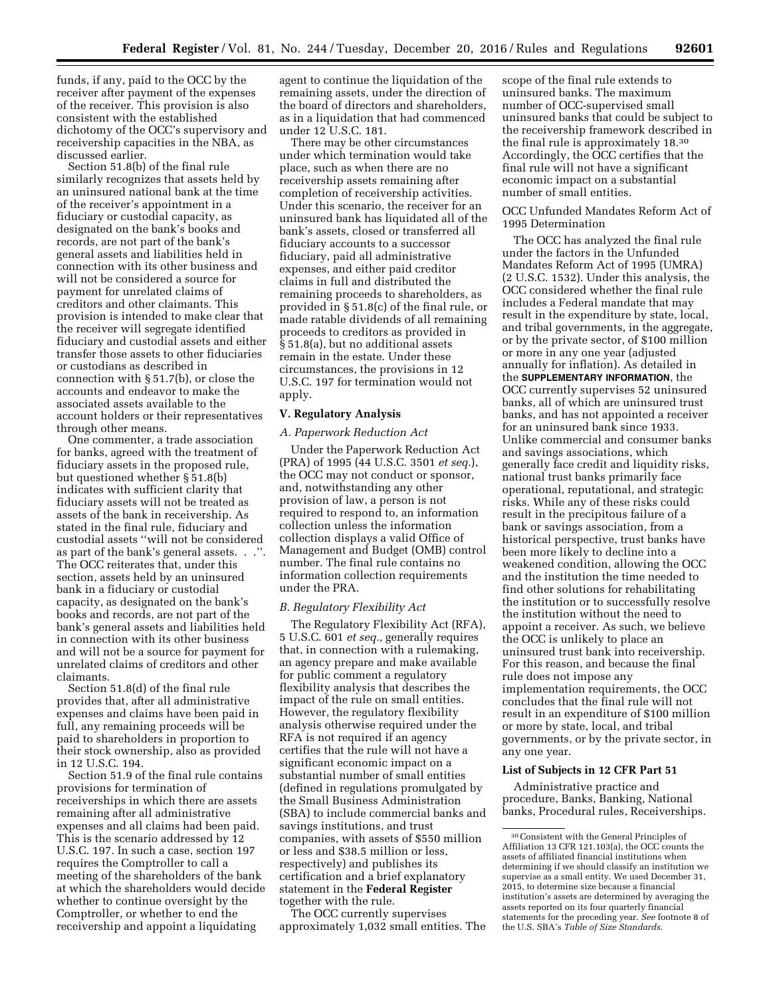funds, if any, paid to the OCC by the receiver after payment of the expenses of the receiver. This provision is also consistent with the established dichotomy of the OCC's supervisory and receivership capacities in the NBA, as discussed earlier.

Section 51.8(b) of the final rule similarly recognizes that assets held by an uninsured national bank at the time of the receiver's appointment in a fiduciary or custodial capacity, as designated on the bank's books and records, are not part of the bank's general assets and liabilities held in connection with its other business and will not be considered a source for payment for unrelated claims of creditors and other claimants. This provision is intended to make clear that the receiver will segregate identified fiduciary and custodial assets and either transfer those assets to other fiduciaries or custodians as described in connection with § 51.7(b), or close the accounts and endeavor to make the associated assets available to the account holders or their representatives through other means.

One commenter, a trade association for banks, agreed with the treatment of fiduciary assets in the proposed rule, but questioned whether § 51.8(b) indicates with sufficient clarity that fiduciary assets will not be treated as assets of the bank in receivership. As stated in the final rule, fiduciary and custodial assets ''will not be considered as part of the bank's general assets. . .''. The OCC reiterates that, under this section, assets held by an uninsured bank in a fiduciary or custodial capacity, as designated on the bank's books and records, are not part of the bank's general assets and liabilities held in connection with its other business and will not be a source for payment for unrelated claims of creditors and other claimants.

Section 51.8(d) of the final rule provides that, after all administrative expenses and claims have been paid in full, any remaining proceeds will be paid to shareholders in proportion to their stock ownership, also as provided in 12 U.S.C. 194.

Section 51.9 of the final rule contains provisions for termination of receiverships in which there are assets remaining after all administrative expenses and all claims had been paid. This is the scenario addressed by 12 U.S.C. 197. In such a case, section 197 requires the Comptroller to call a meeting of the shareholders of the bank at which the shareholders would decide whether to continue oversight by the Comptroller, or whether to end the receivership and appoint a liquidating

agent to continue the liquidation of the remaining assets, under the direction of the board of directors and shareholders, as in a liquidation that had commenced under 12 U.S.C. 181.

There may be other circumstances under which termination would take place, such as when there are no receivership assets remaining after completion of receivership activities. Under this scenario, the receiver for an uninsured bank has liquidated all of the bank's assets, closed or transferred all fiduciary accounts to a successor fiduciary, paid all administrative expenses, and either paid creditor claims in full and distributed the remaining proceeds to shareholders, as provided in § 51.8(c) of the final rule, or made ratable dividends of all remaining proceeds to creditors as provided in § 51.8(a), but no additional assets remain in the estate. Under these circumstances, the provisions in 12 U.S.C. 197 for termination would not apply.

# **V. Regulatory Analysis**

## *A. Paperwork Reduction Act*

Under the Paperwork Reduction Act (PRA) of 1995 (44 U.S.C. 3501 *et seq.*), the OCC may not conduct or sponsor, and, notwithstanding any other provision of law, a person is not required to respond to, an information collection unless the information collection displays a valid Office of Management and Budget (OMB) control number. The final rule contains no information collection requirements under the PRA.

# *B. Regulatory Flexibility Act*

The Regulatory Flexibility Act (RFA), 5 U.S.C. 601 *et seq.,* generally requires that, in connection with a rulemaking, an agency prepare and make available for public comment a regulatory flexibility analysis that describes the impact of the rule on small entities. However, the regulatory flexibility analysis otherwise required under the RFA is not required if an agency certifies that the rule will not have a significant economic impact on a substantial number of small entities (defined in regulations promulgated by the Small Business Administration (SBA) to include commercial banks and savings institutions, and trust companies, with assets of \$550 million or less and \$38.5 million or less, respectively) and publishes its certification and a brief explanatory statement in the **Federal Register**  together with the rule.

The OCC currently supervises approximately 1,032 small entities. The

scope of the final rule extends to uninsured banks. The maximum number of OCC-supervised small uninsured banks that could be subject to the receivership framework described in the final rule is approximately 18.30 Accordingly, the OCC certifies that the final rule will not have a significant economic impact on a substantial number of small entities.

OCC Unfunded Mandates Reform Act of 1995 Determination

The OCC has analyzed the final rule under the factors in the Unfunded Mandates Reform Act of 1995 (UMRA) (2 U.S.C. 1532). Under this analysis, the OCC considered whether the final rule includes a Federal mandate that may result in the expenditure by state, local, and tribal governments, in the aggregate, or by the private sector, of \$100 million or more in any one year (adjusted annually for inflation). As detailed in the **SUPPLEMENTARY INFORMATION**, the OCC currently supervises 52 uninsured banks, all of which are uninsured trust banks, and has not appointed a receiver for an uninsured bank since 1933. Unlike commercial and consumer banks and savings associations, which generally face credit and liquidity risks, national trust banks primarily face operational, reputational, and strategic risks. While any of these risks could result in the precipitous failure of a bank or savings association, from a historical perspective, trust banks have been more likely to decline into a weakened condition, allowing the OCC and the institution the time needed to find other solutions for rehabilitating the institution or to successfully resolve the institution without the need to appoint a receiver. As such, we believe the OCC is unlikely to place an uninsured trust bank into receivership. For this reason, and because the final rule does not impose any implementation requirements, the OCC concludes that the final rule will not result in an expenditure of \$100 million or more by state, local, and tribal governments, or by the private sector, in any one year.

# **List of Subjects in 12 CFR Part 51**

Administrative practice and procedure, Banks, Banking, National banks, Procedural rules, Receiverships.

<sup>30</sup>Consistent with the General Principles of Affiliation 13 CFR 121.103(a), the OCC counts the assets of affiliated financial institutions when determining if we should classify an institution we supervise as a small entity. We used December 31, 2015, to determine size because a financial institution's assets are determined by averaging the assets reported on its four quarterly financial statements for the preceding year. *See* footnote 8 of the U.S. SBA's *Table of Size Standards.*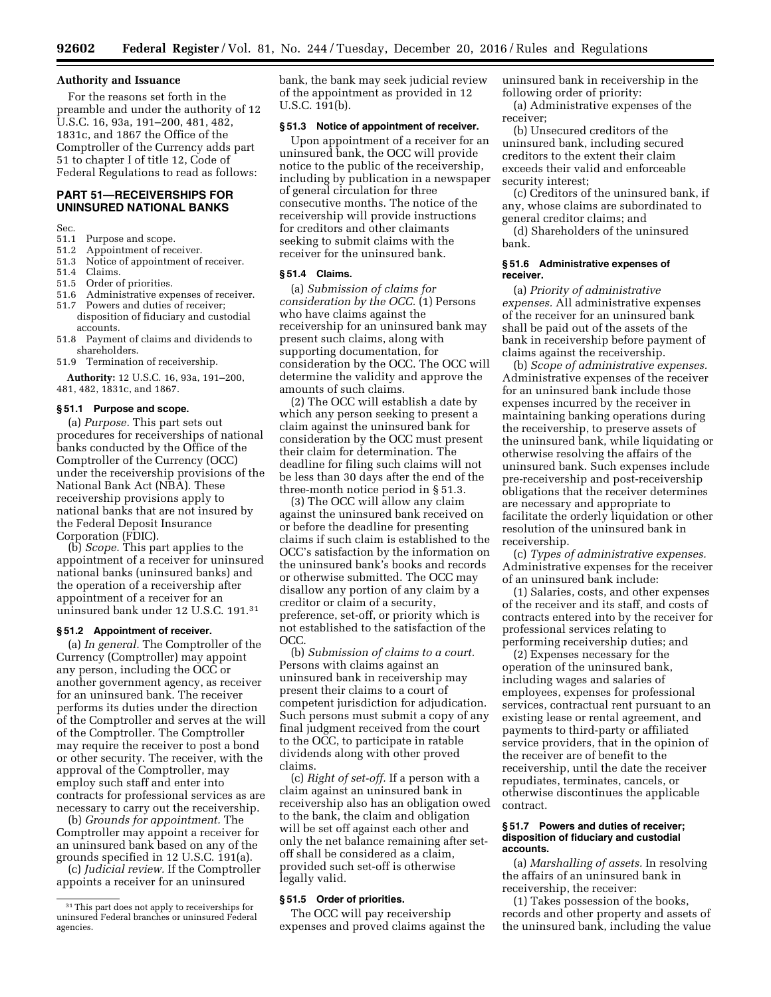#### **Authority and Issuance**

For the reasons set forth in the preamble and under the authority of 12 U.S.C. 16, 93a, 191–200, 481, 482, 1831c, and 1867 the Office of the Comptroller of the Currency adds part 51 to chapter I of title 12, Code of Federal Regulations to read as follows:

# **PART 51—RECEIVERSHIPS FOR UNINSURED NATIONAL BANKS**

Sec.

- 51.1 Purpose and scope.
- 51.2 Appointment of receiver.<br>51.3 Notice of appointment of
- Notice of appointment of receiver.
- 51.4 Claims.
- 51.5 Order of priorities.
- 51.6 Administrative expenses of receiver.<br>51.7 Powers and duties of receiver:
- Powers and duties of receiver; disposition of fiduciary and custodial
- accounts. 51.8 Payment of claims and dividends to shareholders.
- 51.9 Termination of receivership.

**Authority:** 12 U.S.C. 16, 93a, 191–200,

481, 482, 1831c, and 1867.

# **§ 51.1 Purpose and scope.**

(a) *Purpose.* This part sets out procedures for receiverships of national banks conducted by the Office of the Comptroller of the Currency (OCC) under the receivership provisions of the National Bank Act (NBA). These receivership provisions apply to national banks that are not insured by the Federal Deposit Insurance Corporation (FDIC).

(b) *Scope.* This part applies to the appointment of a receiver for uninsured national banks (uninsured banks) and the operation of a receivership after appointment of a receiver for an uninsured bank under 12 U.S.C. 191.31

#### **§ 51.2 Appointment of receiver.**

(a) *In general.* The Comptroller of the Currency (Comptroller) may appoint any person, including the OCC or another government agency, as receiver for an uninsured bank. The receiver performs its duties under the direction of the Comptroller and serves at the will of the Comptroller. The Comptroller may require the receiver to post a bond or other security. The receiver, with the approval of the Comptroller, may employ such staff and enter into contracts for professional services as are necessary to carry out the receivership.

(b) *Grounds for appointment.* The Comptroller may appoint a receiver for an uninsured bank based on any of the grounds specified in 12 U.S.C. 191(a).

(c) *Judicial review.* If the Comptroller appoints a receiver for an uninsured

bank, the bank may seek judicial review of the appointment as provided in 12 U.S.C. 191(b).

## **§ 51.3 Notice of appointment of receiver.**

Upon appointment of a receiver for an uninsured bank, the OCC will provide notice to the public of the receivership, including by publication in a newspaper of general circulation for three consecutive months. The notice of the receivership will provide instructions for creditors and other claimants seeking to submit claims with the receiver for the uninsured bank.

## **§ 51.4 Claims.**

(a) *Submission of claims for consideration by the OCC.* (1) Persons who have claims against the receivership for an uninsured bank may present such claims, along with supporting documentation, for consideration by the OCC. The OCC will determine the validity and approve the amounts of such claims.

(2) The OCC will establish a date by which any person seeking to present a claim against the uninsured bank for consideration by the OCC must present their claim for determination. The deadline for filing such claims will not be less than 30 days after the end of the three-month notice period in § 51.3.

(3) The OCC will allow any claim against the uninsured bank received on or before the deadline for presenting claims if such claim is established to the OCC's satisfaction by the information on the uninsured bank's books and records or otherwise submitted. The OCC may disallow any portion of any claim by a creditor or claim of a security, preference, set-off, or priority which is not established to the satisfaction of the OCC.

(b) *Submission of claims to a court.*  Persons with claims against an uninsured bank in receivership may present their claims to a court of competent jurisdiction for adjudication. Such persons must submit a copy of any final judgment received from the court to the OCC, to participate in ratable dividends along with other proved claims.

(c) *Right of set-off.* If a person with a claim against an uninsured bank in receivership also has an obligation owed to the bank, the claim and obligation will be set off against each other and only the net balance remaining after setoff shall be considered as a claim, provided such set-off is otherwise legally valid.

#### **§ 51.5 Order of priorities.**

The OCC will pay receivership expenses and proved claims against the uninsured bank in receivership in the following order of priority:

(a) Administrative expenses of the receiver;

(b) Unsecured creditors of the uninsured bank, including secured creditors to the extent their claim exceeds their valid and enforceable security interest;

(c) Creditors of the uninsured bank, if any, whose claims are subordinated to general creditor claims; and (d) Shareholders of the uninsured

bank.

## **§ 51.6 Administrative expenses of receiver.**

(a) *Priority of administrative expenses.* All administrative expenses of the receiver for an uninsured bank shall be paid out of the assets of the bank in receivership before payment of claims against the receivership.

(b) *Scope of administrative expenses.*  Administrative expenses of the receiver for an uninsured bank include those expenses incurred by the receiver in maintaining banking operations during the receivership, to preserve assets of the uninsured bank, while liquidating or otherwise resolving the affairs of the uninsured bank. Such expenses include pre-receivership and post-receivership obligations that the receiver determines are necessary and appropriate to facilitate the orderly liquidation or other resolution of the uninsured bank in receivership.

(c) *Types of administrative expenses.*  Administrative expenses for the receiver of an uninsured bank include:

(1) Salaries, costs, and other expenses of the receiver and its staff, and costs of contracts entered into by the receiver for professional services relating to performing receivership duties; and

(2) Expenses necessary for the operation of the uninsured bank, including wages and salaries of employees, expenses for professional services, contractual rent pursuant to an existing lease or rental agreement, and payments to third-party or affiliated service providers, that in the opinion of the receiver are of benefit to the receivership, until the date the receiver repudiates, terminates, cancels, or otherwise discontinues the applicable contract.

#### **§ 51.7 Powers and duties of receiver; disposition of fiduciary and custodial accounts.**

(a) *Marshalling of assets.* In resolving the affairs of an uninsured bank in receivership, the receiver:

(1) Takes possession of the books, records and other property and assets of the uninsured bank, including the value

<sup>31</sup>This part does not apply to receiverships for uninsured Federal branches or uninsured Federal agencies.